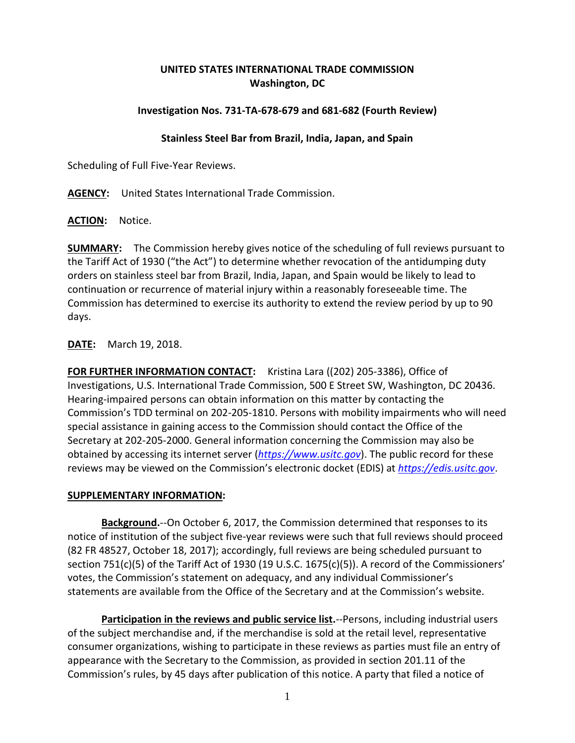## **UNITED STATES INTERNATIONAL TRADE COMMISSION Washington, DC**

## **Investigation Nos. 731-TA-678-679 and 681-682 (Fourth Review)**

## **Stainless Steel Bar from Brazil, India, Japan, and Spain**

Scheduling of Full Five-Year Reviews.

**AGENCY:** United States International Trade Commission.

**ACTION:** Notice.

**SUMMARY:** The Commission hereby gives notice of the scheduling of full reviews pursuant to the Tariff Act of 1930 ("the Act") to determine whether revocation of the antidumping duty orders on stainless steel bar from Brazil, India, Japan, and Spain would be likely to lead to continuation or recurrence of material injury within a reasonably foreseeable time. The Commission has determined to exercise its authority to extend the review period by up to 90 days.

**DATE:** March 19, 2018.

**FOR FURTHER INFORMATION CONTACT:** Kristina Lara ((202) 205-3386), Office of Investigations, U.S. International Trade Commission, 500 E Street SW, Washington, DC 20436. Hearing-impaired persons can obtain information on this matter by contacting the Commission's TDD terminal on 202-205-1810. Persons with mobility impairments who will need special assistance in gaining access to the Commission should contact the Office of the Secretary at 202-205-2000. General information concerning the Commission may also be obtained by accessing its internet server (*[https://www.usitc.gov](https://www.usitc.gov/)*). The public record for these reviews may be viewed on the Commission's electronic docket (EDIS) at *[https://edis.usitc.gov](https://edis.usitc.gov/)*.

## **SUPPLEMENTARY INFORMATION:**

**Background.**--On October 6, 2017, the Commission determined that responses to its notice of institution of the subject five-year reviews were such that full reviews should proceed (82 FR 48527, October 18, 2017); accordingly, full reviews are being scheduled pursuant to section 751(c)(5) of the Tariff Act of 1930 (19 U.S.C. 1675(c)(5)). A record of the Commissioners' votes, the Commission's statement on adequacy, and any individual Commissioner's statements are available from the Office of the Secretary and at the Commission's website.

**Participation in the reviews and public service list.**--Persons, including industrial users of the subject merchandise and, if the merchandise is sold at the retail level, representative consumer organizations, wishing to participate in these reviews as parties must file an entry of appearance with the Secretary to the Commission, as provided in section 201.11 of the Commission's rules, by 45 days after publication of this notice. A party that filed a notice of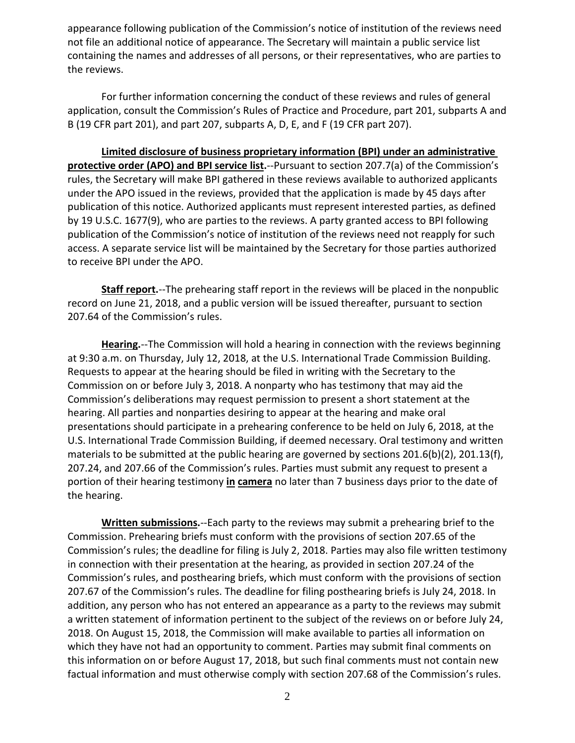appearance following publication of the Commission's notice of institution of the reviews need not file an additional notice of appearance. The Secretary will maintain a public service list containing the names and addresses of all persons, or their representatives, who are parties to the reviews.

For further information concerning the conduct of these reviews and rules of general application, consult the Commission's Rules of Practice and Procedure, part 201, subparts A and B (19 CFR part 201), and part 207, subparts A, D, E, and F (19 CFR part 207).

**Limited disclosure of business proprietary information (BPI) under an administrative protective order (APO) and BPI service list.**--Pursuant to section 207.7(a) of the Commission's rules, the Secretary will make BPI gathered in these reviews available to authorized applicants under the APO issued in the reviews, provided that the application is made by 45 days after publication of this notice. Authorized applicants must represent interested parties, as defined by 19 U.S.C. 1677(9), who are parties to the reviews. A party granted access to BPI following publication of the Commission's notice of institution of the reviews need not reapply for such access. A separate service list will be maintained by the Secretary for those parties authorized to receive BPI under the APO.

**Staff report.**--The prehearing staff report in the reviews will be placed in the nonpublic record on June 21, 2018, and a public version will be issued thereafter, pursuant to section 207.64 of the Commission's rules.

**Hearing.**--The Commission will hold a hearing in connection with the reviews beginning at 9:30 a.m. on Thursday, July 12, 2018, at the U.S. International Trade Commission Building. Requests to appear at the hearing should be filed in writing with the Secretary to the Commission on or before July 3, 2018. A nonparty who has testimony that may aid the Commission's deliberations may request permission to present a short statement at the hearing. All parties and nonparties desiring to appear at the hearing and make oral presentations should participate in a prehearing conference to be held on July 6, 2018, at the U.S. International Trade Commission Building, if deemed necessary. Oral testimony and written materials to be submitted at the public hearing are governed by sections 201.6(b)(2), 201.13(f), 207.24, and 207.66 of the Commission's rules. Parties must submit any request to present a portion of their hearing testimony **in camera** no later than 7 business days prior to the date of the hearing.

**Written submissions.**--Each party to the reviews may submit a prehearing brief to the Commission. Prehearing briefs must conform with the provisions of section 207.65 of the Commission's rules; the deadline for filing is July 2, 2018. Parties may also file written testimony in connection with their presentation at the hearing, as provided in section 207.24 of the Commission's rules, and posthearing briefs, which must conform with the provisions of section 207.67 of the Commission's rules. The deadline for filing posthearing briefs is July 24, 2018. In addition, any person who has not entered an appearance as a party to the reviews may submit a written statement of information pertinent to the subject of the reviews on or before July 24, 2018. On August 15, 2018, the Commission will make available to parties all information on which they have not had an opportunity to comment. Parties may submit final comments on this information on or before August 17, 2018, but such final comments must not contain new factual information and must otherwise comply with section 207.68 of the Commission's rules.